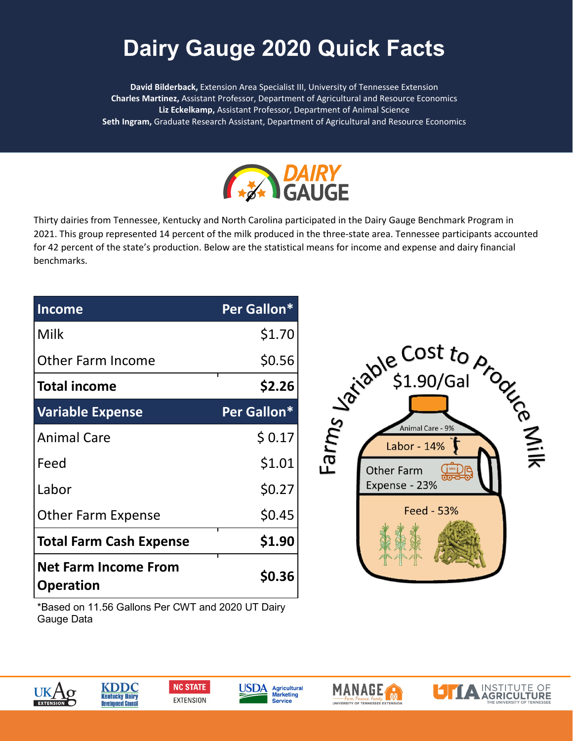## Dairy Gauge 2020 Quick Facts **Dairy Gauge 2020 Quick Facts**

**David Bilderback,** Extension Area Specialist III, University of Tennessee Extension Area Specialist III, University of Tennessee Extension **Charles Martinez,** Assistant Professor, Department of Agricultural and Resource Economics Charles Martinez, Assistant Professor, Department of Agricultural and Resource Economics **Liz Eckelkamp,** Assistant Professor, Department of Animal Science **Seth Ingram,** Graduate Research Assistant, Department of Agricultural and Resource Economics



Thirty dairies from Tennessee, Kentucky and North Carolina participated in the Dairy Gauge Benchmark Program in 2021. This group represented 14 percent of the milk produced in the three-state area. Tennessee participants accounted for 42 percent of the state's production. Below are the statistical means for income and expense and dairy financial benchmarks.

| <b>Income</b>                                   | Per Gallon*  |
|-------------------------------------------------|--------------|
| Milk                                            | \$1.70       |
| <b>Other Farm Income</b>                        | \$0.56       |
| <b>Total income</b>                             | \$2.26       |
| <b>Variable Expense</b>                         | Per Gallon*  |
| <b>Animal Care</b>                              | \$0.17       |
| Feed                                            | \$1.01       |
| Labor                                           | \$0.27       |
| <b>Other Farm Expense</b>                       | \$0.45       |
| <b>Total Farm Cash Expense</b>                  | \$1.90       |
| <b>Net Farm Income From</b><br><b>Operation</b> | <b>SO.36</b> |



\*Based on 11.56 Gallons Per CWT and 2020 UT Dairy Gauge Data









**MANAGE**